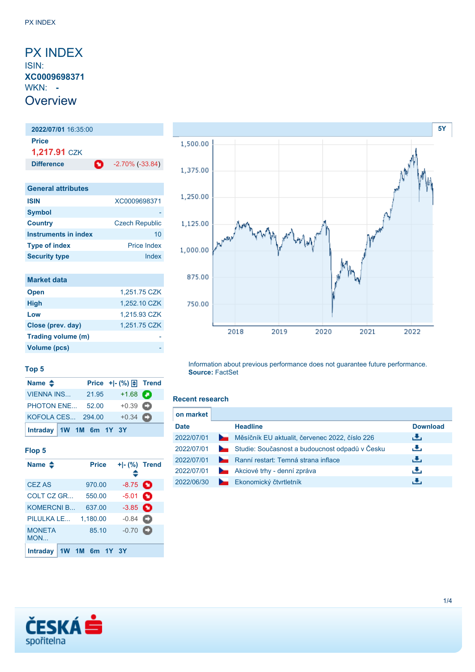### <span id="page-0-0"></span>PX INDEX ISIN: **XC0009698371** WKN: **- Overview**

## **2022/07/01** 16:35:00 **Price 1,217.91** CZK **Difference 1** -2.70% (-33.84) **General attributes ISIN** XC0009698371 **Symbol**

| <b>Country</b>       | <b>Czech Republic</b> |
|----------------------|-----------------------|
| Instruments in index | 10                    |
| <b>Type of index</b> | <b>Price Index</b>    |
| <b>Security type</b> | Index                 |

| <b>Market data</b> |              |
|--------------------|--------------|
| <b>Open</b>        | 1,251.75 CZK |
| <b>High</b>        | 1,252.10 CZK |
| Low                | 1,215.93 CZK |
| Close (prev. day)  | 1,251.75 CZK |
| Trading volume (m) |              |
| Volume (pcs)       |              |



#### **Top 5**

| Name $\triangle$        |       | Price $+$ $ \binom{9}{0}$ $\boxed{\oplus}$ Trend |  |
|-------------------------|-------|--------------------------------------------------|--|
| VIENNA INS              | 21.95 | $+1.68$ $\bullet$                                |  |
| PHOTON ENE 52.00        |       | $+0.39$ $\bullet$                                |  |
| KOFOLA CES 294.00       |       | $+0.34$                                          |  |
| Intraday 1W 1M 6m 1Y 3Y |       |                                                  |  |

#### **Flop 5**

| Name $\clubsuit$     |  | <b>Price</b> | ≘                 | + - (%) Trend |
|----------------------|--|--------------|-------------------|---------------|
| <b>CEZ AS</b>        |  | 970.00       | $-8.75$ $\bullet$ |               |
| COLT CZ GR           |  | 550.00       | $-5.01$ $\bullet$ |               |
| <b>KOMERCNI B</b>    |  | 637.00       | $-3.85$ $\bullet$ |               |
| PILULKA LE           |  | 1.180.00     | $-0.84$           |               |
| <b>MONETA</b><br>MON |  | 85.10        | $-0.70$           | o             |
| <b>Intraday</b>      |  | 1M 6m 1Y 3Y  |                   |               |

#### Information about previous performance does not guarantee future performance. **Source:** FactSet

#### **Recent research**

| on market   |                |                                                |                 |
|-------------|----------------|------------------------------------------------|-----------------|
| <b>Date</b> |                | <b>Headline</b>                                | <b>Download</b> |
| 2022/07/01  | <b>Service</b> | Měsíčník EU aktualit, červenec 2022, číslo 226 | ريل             |
| 2022/07/01  |                | Studie: Současnost a budoucnost odpadů v Česku | رنان            |
| 2022/07/01  | $\sim$         | Ranní restart: Temná strana inflace            | ريان            |
| 2022/07/01  |                | Akciové trhy - denní zpráva                    | æ,              |
| 2022/06/30  |                | Ekonomický čtvrtletník                         |                 |

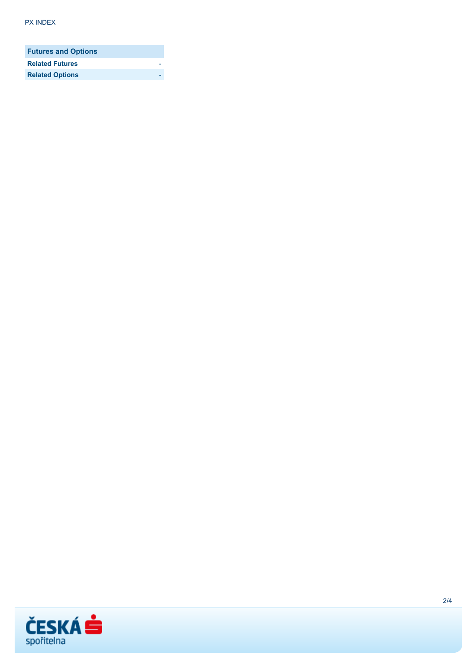| <b>Futures and Options</b> |  |
|----------------------------|--|
| <b>Related Futures</b>     |  |
| <b>Related Options</b>     |  |

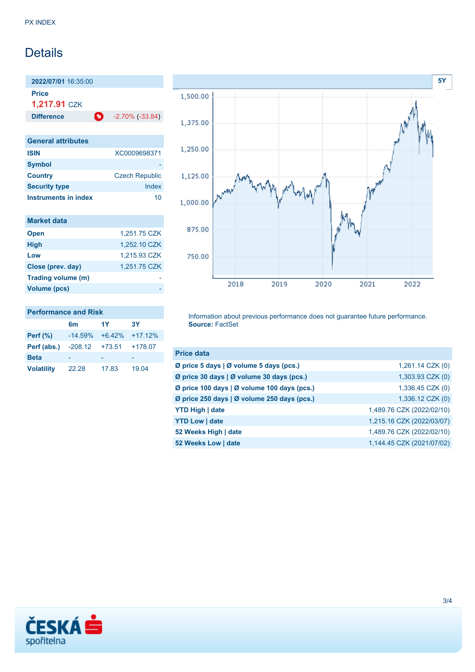## **Details**

**2022/07/01** 16:35:00 **Price**

**1,217.91** CZK

**Difference 1** -2.70% (-33.84)

| <b>General attributes</b> |                       |
|---------------------------|-----------------------|
| <b>ISIN</b>               | XC0009698371          |
| <b>Symbol</b>             |                       |
| <b>Country</b>            | <b>Czech Republic</b> |
| <b>Security type</b>      | Index                 |
| Instruments in index      | 10                    |

| <b>Market data</b> |              |
|--------------------|--------------|
| <b>Open</b>        | 1,251.75 CZK |
| <b>High</b>        | 1,252.10 CZK |
| Low                | 1,215.93 CZK |
| Close (prev. day)  | 1,251.75 CZK |
| Trading volume (m) |              |
| Volume (pcs)       |              |



#### **Performance and Risk**

|                   | 6m        | 1Y       | <b>3Y</b> |
|-------------------|-----------|----------|-----------|
| Perf $(\%)$       | $-14.59%$ | $+6.42%$ | $+17.12%$ |
| Perf (abs.)       | -208.12   | +73.51   | $+178.07$ |
| <b>Beta</b>       |           |          |           |
| <b>Volatility</b> | 22.28     | 17.83    | 19.04     |

Information about previous performance does not guarantee future performance. **Source:** FactSet

| <b>Price data</b>                           |                           |
|---------------------------------------------|---------------------------|
| Ø price 5 days   Ø volume 5 days (pcs.)     | $1,261.14$ CZK $(0)$      |
| Ø price 30 days   Ø volume 30 days (pcs.)   | 1,303.93 CZK (0)          |
| Ø price 100 days   Ø volume 100 days (pcs.) | 1,336.45 CZK (0)          |
| Ø price 250 days   Ø volume 250 days (pcs.) | 1,336.12 CZK (0)          |
| <b>YTD High   date</b>                      | 1,489.76 CZK (2022/02/10) |
| <b>YTD Low   date</b>                       | 1,215.16 CZK (2022/03/07) |
| 52 Weeks High   date                        | 1,489.76 CZK (2022/02/10) |
| 52 Weeks Low   date                         | 1,144.45 CZK (2021/07/02) |